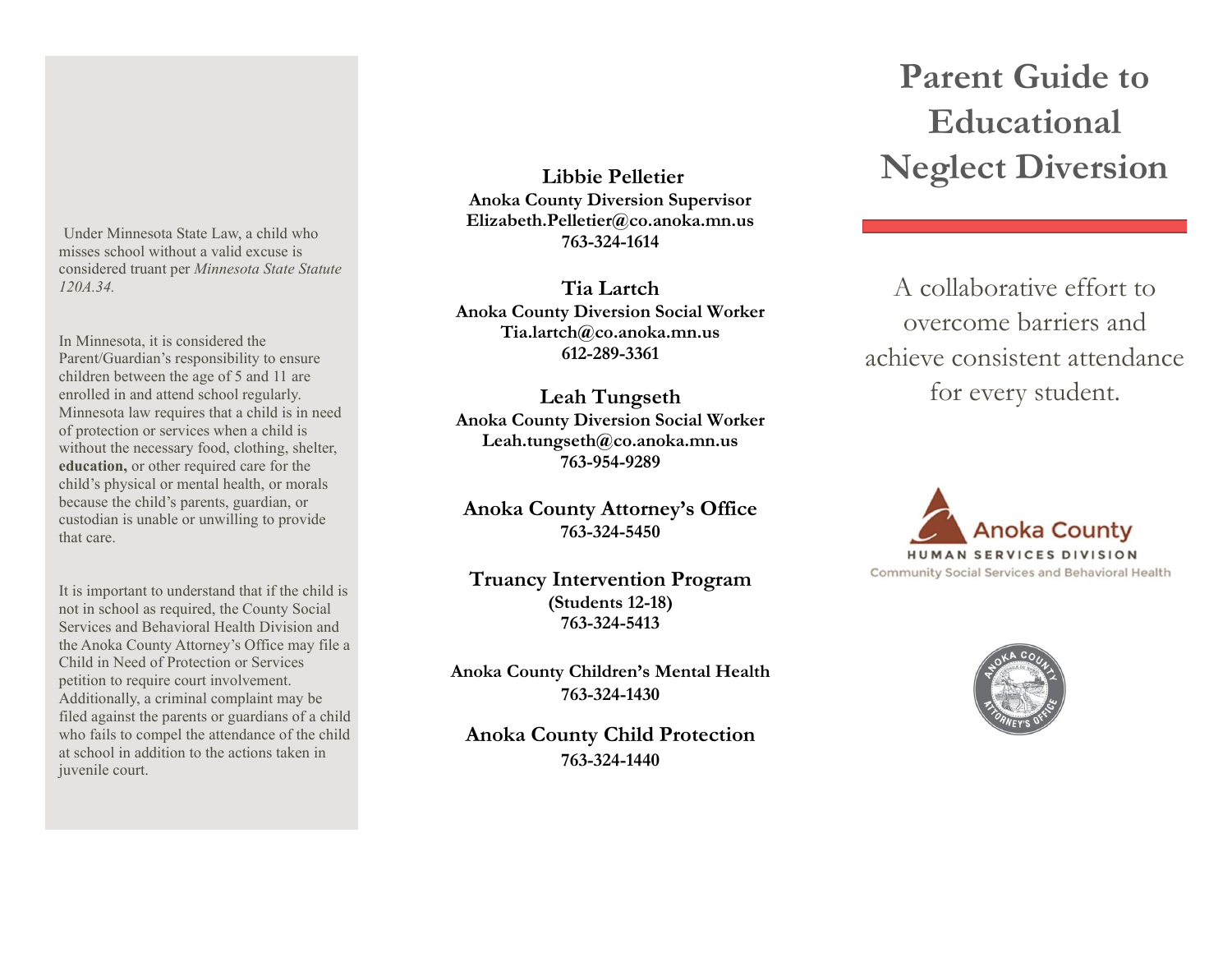Under Minnesota State Law, a child who misses school without a valid excuse is considered truant per *Minnesota State Statute 120A.34.*

In Minnesota, it is considered the Parent/Guardian's responsibility to ensure children between the age of 5 and 11 are enrolled in and attend school regularly. Minnesota law requires that a child is in need of protection or services when a child is without the necessary food, clothing, shelter, **education,** or other required care for the child's physical or mental health, or morals because the child's parents, guardian, or custodian is unable or unwilling to provide that care.

It is important to understand that if the child is not in school as required, the County Social Services and Behavioral Health Division and the Anoka County Attorney's Office may file a Child in Need of Protection or Services petition to require court involvement. Additionally, a criminal complaint may be filed against the parents or guardians of a child who fails to compel the attendance of the child at school in addition to the actions taken in juvenile court.

**Libbie Pelletier Anoka County Diversion Supervisor Elizabeth.Pelletier@co.anoka.mn.us 763-324-1614**

**Tia Lartch Anoka County Diversion Social Worker Tia.lartch@co.anoka.mn.us 612-289-3361**

**Leah Tungseth Anoka County Diversion Social Worker Leah.tungseth@co.anoka.mn.us 763-954-9289**

**Anoka County Attorney's Office 763-324-5450** 

# **Truancy Intervention Program (Students 12-18) 763-324-5413**

**Anoka County Children's Mental Health 763-324-1430**

**Anoka County Child Protection 763-324-1440**

# **Parent Guide to Educational Neglect Diversion**

A collaborative effort to overcome barriers and achieve consistent attendance for every student.